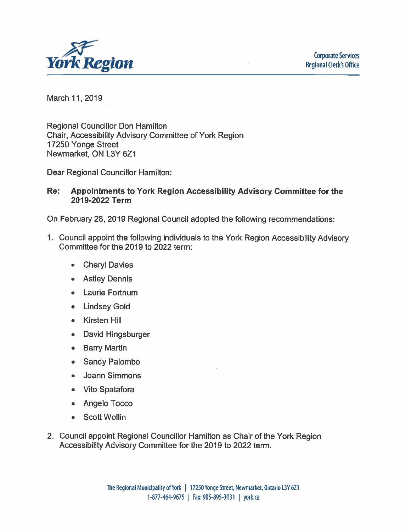

March 11, 2019

**Regional Councillor Don Hamilton** Chair, Accessibility Advisory Committee of York Region 17250 Yonge Street Newmarket, ON L3Y 6Z1

Dear Regional Councillor Hamilton:

#### Re: Appointments to York Region Accessibility Advisory Committee for the 2019-2022 Term

On February 28, 2019 Regional Council adopted the following recommendations:

- 1. Council appoint the following individuals to the York Region Accessibility Advisory Committee for the 2019 to 2022 term:
	- **Cheryl Davies** Ä
	- **Astley Dennis**
	- Laurie Fortnum
	- Lindsey Gold
	- Kirsten Hill
	- David Hingsburger
	- Barry Martin
	- Sandy Palombo
	- Joann Simmons
	- Vito Spatafora
	- Angelo Tocco
	- Scott Wollin
- 2. Council appoint Regional Councillor Hamilton as Chair of the York Region Accessibility Advisory Committee for the 2019 to 2022 term.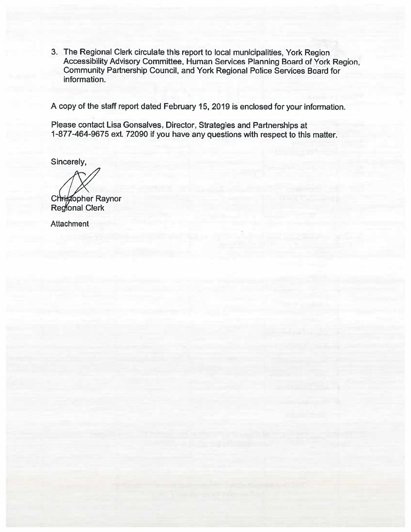3. The Regional Clerk circulate this report to local municipalities, York Region Accessibility Advisory Committee, Human Services Planning Board of York Region, Community Partnership Council, and York Regional Police Services Board for information.

A copy of the staff report dated February 15, 2019 is enclosed for your information.

Please contact Lisa Gonsalves, Director, Strategies and Partnerships at 1-877-464-9675 ext. 72090 if you have any questions with respect to this matter.

Sincerely,

Christopher Raynor<br>Regional Clerk

**Attachment**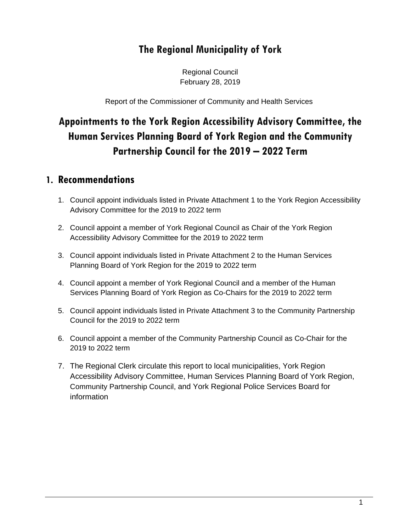# **The Regional Municipality of York**

Regional Council February 28, 2019

Report of the Commissioner of Community and Health Services

# **Appointments to the York Region Accessibility Advisory Committee, the Human Services Planning Board of York Region and the Community Partnership Council for the 2019 – 2022 Term**

#### **1. Recommendations**

- 1. Council appoint individuals listed in Private Attachment 1 to the York Region Accessibility Advisory Committee for the 2019 to 2022 term
- 2. Council appoint a member of York Regional Council as Chair of the York Region Accessibility Advisory Committee for the 2019 to 2022 term
- 3. Council appoint individuals listed in Private Attachment 2 to the Human Services Planning Board of York Region for the 2019 to 2022 term
- 4. Council appoint a member of York Regional Council and a member of the Human Services Planning Board of York Region as Co-Chairs for the 2019 to 2022 term
- 5. Council appoint individuals listed in Private Attachment 3 to the Community Partnership Council for the 2019 to 2022 term
- 6. Council appoint a member of the Community Partnership Council as Co-Chair for the 2019 to 2022 term
- 7. The Regional Clerk circulate this report to local municipalities, York Region Accessibility Advisory Committee, Human Services Planning Board of York Region, Community Partnership Council, and York Regional Police Services Board for information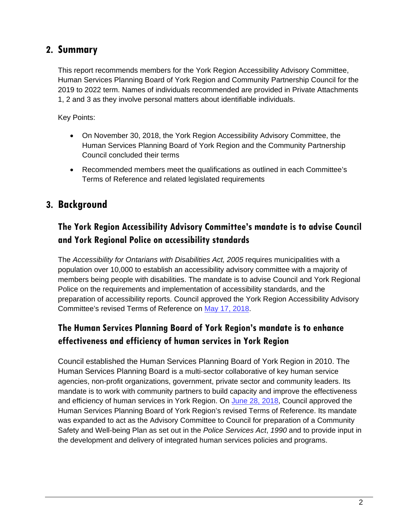#### **2. Summary**

This report recommends members for the York Region Accessibility Advisory Committee, Human Services Planning Board of York Region and Community Partnership Council for the 2019 to 2022 term. Names of individuals recommended are provided in Private Attachments 1, 2 and 3 as they involve personal matters about identifiable individuals.

Key Points:

- On November 30, 2018, the York Region Accessibility Advisory Committee, the Human Services Planning Board of York Region and the Community Partnership Council concluded their terms
- Recommended members meet the qualifications as outlined in each Committee's Terms of Reference and related legislated requirements

#### **3. Background**

### **The York Region Accessibility Advisory Committee's mandate is to advise Council and York Regional Police on accessibility standards**

The *Accessibility for Ontarians with Disabilities Act, 2005* requires municipalities with a population over 10,000 to establish an accessibility advisory committee with a majority of members being people with disabilities. The mandate is to advise Council and York Regional Police on the requirements and implementation of accessibility standards, and the preparation of accessibility reports. Council approved the York Region Accessibility Advisory Committee's revised Terms of Reference on May 17, 2018.

#### **The Human Services Planning Board of York Region's mandate is to enhance effectiveness and efficiency of human services in York Region**

Council established the Human Services Planning Board of York Region in 2010. The Human Services Planning Board is a multi-sector collaborative of key human service agencies, non-profit organizations, government, private sector and community leaders. Its mandate is to work with community partners to build capacity and improve the effectiveness and efficiency of human services in York Region. On June 28, 2018, Council approved the Human Services Planning Board of York Region's revised Terms of Reference. Its mandate was expanded to act as the Advisory Committee to Council for preparation of a Community Safety and Well-being Plan as set out in the *Police Services Act*, *1990* and to provide input in the development and delivery of integrated human services policies and programs.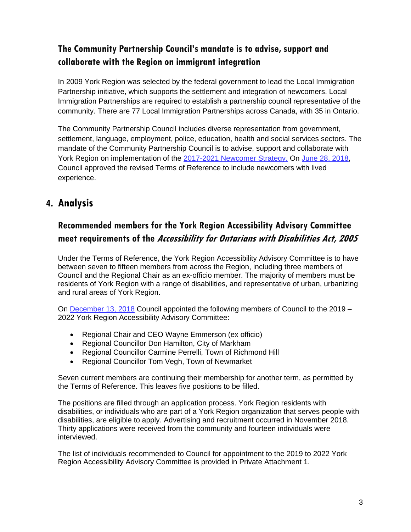#### **The Community Partnership Council's mandate is to advise, support and collaborate with the Region on immigrant integration**

In 2009 York Region was selected by the federal government to lead the Local Immigration Partnership initiative, which supports the settlement and integration of newcomers. Local Immigration Partnerships are required to establish a partnership council representative of the community. There are 77 Local Immigration Partnerships across Canada, with 35 in Ontario.

The Community Partnership Council includes diverse representation from government, settlement, language, employment, police, education, health and social services sectors. The mandate of the Community Partnership Council is to advise, support and collaborate with York Region on implementation of the 2017-2021 Newcomer Strategy. On June 28, 2018, Council approved the revised Terms of Reference to include newcomers with lived experience.

# **4. Analysis**

## **Recommended members for the York Region Accessibility Advisory Committee meet requirements of the Accessibility for Ontarians with Disabilities Act, 2005**

Under the Terms of Reference, the York Region Accessibility Advisory Committee is to have between seven to fifteen members from across the Region, including three members of Council and the Regional Chair as an ex-officio member. The majority of members must be residents of York Region with a range of disabilities, and representative of urban, urbanizing and rural areas of York Region.

On December 13, 2018 Council appointed the following members of Council to the 2019 – 2022 York Region Accessibility Advisory Committee:

- Regional Chair and CEO Wayne Emmerson (ex officio)
- Regional Councillor Don Hamilton, City of Markham
- Regional Councillor Carmine Perrelli, Town of Richmond Hill
- Regional Councillor Tom Vegh, Town of Newmarket

Seven current members are continuing their membership for another term, as permitted by the Terms of Reference. This leaves five positions to be filled.

The positions are filled through an application process. York Region residents with disabilities, or individuals who are part of a York Region organization that serves people with disabilities, are eligible to apply. Advertising and recruitment occurred in November 2018. Thirty applications were received from the community and fourteen individuals were interviewed.

The list of individuals recommended to Council for appointment to the 2019 to 2022 York Region Accessibility Advisory Committee is provided in Private Attachment 1.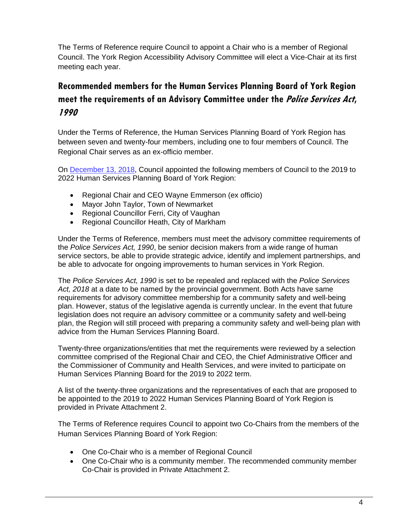The Terms of Reference require Council to appoint a Chair who is a member of Regional Council. The York Region Accessibility Advisory Committee will elect a Vice-Chair at its first meeting each year.

# **Recommended members for the Human Services Planning Board of York Region meet the requirements of an Advisory Committee under the Police Services Act, 1990**

Under the Terms of Reference, the Human Services Planning Board of York Region has between seven and twenty-four members, including one to four members of Council. The Regional Chair serves as an ex-officio member.

On December 13, 2018, Council appointed the following members of Council to the 2019 to 2022 Human Services Planning Board of York Region:

- Regional Chair and CEO Wayne Emmerson (ex officio)
- Mayor John Taylor, Town of Newmarket
- Regional Councillor Ferri, City of Vaughan
- Regional Councillor Heath, City of Markham

Under the Terms of Reference, members must meet the advisory committee requirements of the *Police Services Act, 1990*, be senior decision makers from a wide range of human service sectors, be able to provide strategic advice, identify and implement partnerships, and be able to advocate for ongoing improvements to human services in York Region.

The *Police Services Act, 1990* is set to be repealed and replaced with the *Police Services Act, 2018* at a date to be named by the provincial government. Both Acts have same requirements for advisory committee membership for a community safety and well-being plan. However, status of the legislative agenda is currently unclear. In the event that future legislation does not require an advisory committee or a community safety and well-being plan, the Region will still proceed with preparing a community safety and well-being plan with advice from the Human Services Planning Board.

Twenty-three organizations/entities that met the requirements were reviewed by a selection committee comprised of the Regional Chair and CEO, the Chief Administrative Officer and the Commissioner of Community and Health Services, and were invited to participate on Human Services Planning Board for the 2019 to 2022 term.

A list of the twenty-three organizations and the representatives of each that are proposed to be appointed to the 2019 to 2022 Human Services Planning Board of York Region is provided in Private Attachment 2.

The Terms of Reference requires Council to appoint two Co-Chairs from the members of the Human Services Planning Board of York Region:

- One Co-Chair who is a member of Regional Council
- One Co-Chair who is a community member. The recommended community member Co-Chair is provided in Private Attachment 2.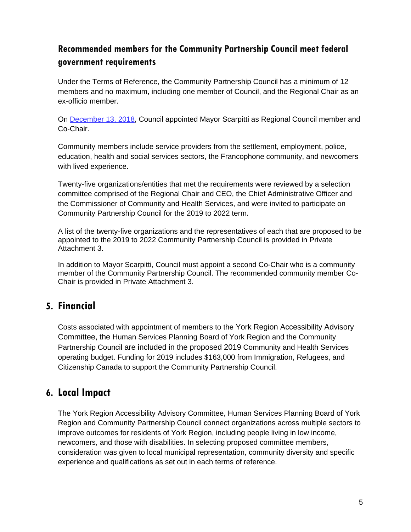#### **Recommended members for the Community Partnership Council meet federal government requirements**

Under the Terms of Reference, the Community Partnership Council has a minimum of 12 members and no maximum, including one member of Council, and the Regional Chair as an ex-officio member.

On December 13, 2018, Council appointed Mayor Scarpitti as Regional Council member and Co-Chair.

Community members include service providers from the settlement, employment, police, education, health and social services sectors, the Francophone community, and newcomers with lived experience.

Twenty-five organizations/entities that met the requirements were reviewed by a selection committee comprised of the Regional Chair and CEO, the Chief Administrative Officer and the Commissioner of Community and Health Services, and were invited to participate on Community Partnership Council for the 2019 to 2022 term.

A list of the twenty-five organizations and the representatives of each that are proposed to be appointed to the 2019 to 2022 Community Partnership Council is provided in Private Attachment 3.

In addition to Mayor Scarpitti, Council must appoint a second Co-Chair who is a community member of the Community Partnership Council. The recommended community member Co-Chair is provided in Private Attachment 3.

#### **5. Financial**

Costs associated with appointment of members to the York Region Accessibility Advisory Committee, the Human Services Planning Board of York Region and the Community Partnership Council are included in the proposed 2019 Community and Health Services operating budget. Funding for 2019 includes \$163,000 from Immigration, Refugees, and Citizenship Canada to support the Community Partnership Council.

#### **6. Local Impact**

The York Region Accessibility Advisory Committee, Human Services Planning Board of York Region and Community Partnership Council connect organizations across multiple sectors to improve outcomes for residents of York Region, including people living in low income, newcomers, and those with disabilities. In selecting proposed committee members, consideration was given to local municipal representation, community diversity and specific experience and qualifications as set out in each terms of reference.